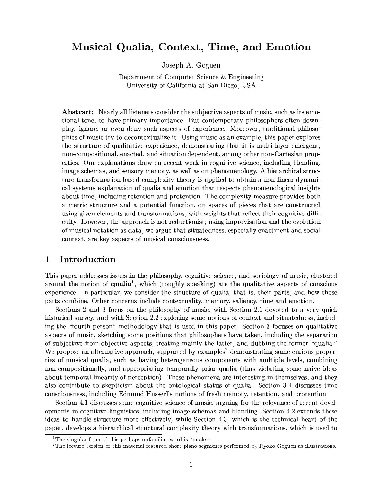# Musical Qualia, Context, Time, and Emotion

Joseph A. Goguen

Department of Computer Science & Engineering University of California at San Diego, USA

**Abstract:** Nearly all listeners consider the subjective aspects of music, such as its emotional tone, to have primary importance. But contemporary philosophers often downplay, ignore, or even deny such aspects of experience. Moreover, traditional philosophies of music try to decontextualize it. Using music as an example, this paper explores the structure of qualitative experience, demonstrating that it is multi-layer emergent, non-compositional, enacted, and situation dependent, among other non-Cartesian properties. Our explanations draw on recent work in cognitive science, including blending. image schemas, and sensory memory, as well as on phenomenology. A hierarchical structure transformation based complexity theory is applied to obtain a non-linear dynamical systems explanation of qualia and emotion that respects phenomenological insights about time, including retention and protention. The complexity measure provides both a metric structure and a potential function, on spaces of pieces that are constructed using given elements and transformations, with weights that reflect their cognitive difficulty. However, the approach is not reduction ist; using improvisation and the evolution of musical notation as data, we argue that situatedness, especially enactment and social context, are key aspects of musical consciousness.

### Introduction  $\mathbf{1}$

This paper addresses issues in the philosophy, cognitive science, and sociology of music, clustered around the notion of qualia<sup>1</sup>, which (roughly speaking) are the qualitative aspects of conscious experience. In particular, we consider the structure of qualia, that is, their parts, and how those parts combine. Other concerns include contextuality, memory, saliency, time and emotion.

Sections 2 and 3 focus on the philosophy of music, with Section 2.1 devoted to a very quick historical survey, and with Section 2.2 exploring some notions of context and situatedness, including the "fourth person" methodology that is used in this paper. Section 3 focuses on qualitative aspects of music, sketching some positions that philosophers have taken, including the separation of subjective from objective aspects, treating mainly the latter, and dubbing the former "qualia." We propose an alternative approach, supported by examples<sup>2</sup> demonstrating some curious properties of musical qualia, such as having heterogeneous components with multiple levels, combining non-compositionally, and appropriating temporally prior qualia (thus violating some naive ideas about temporal linearity of perception). These phenomena are interesting in themselves, and they also contribute to skepticism about the ontological status of qualia. Section 3.1 discusses time consciousness, including Edmund Husserl's notions of fresh memory, retention, and protention.

Section 4.1 discusses some cognitive science of music, arguing for the relevance of recent developments in cognitive linguistics, including image schemas and blending. Section 4.2 extends these ideas to handle structure more effectively, while Section 4.3, which is the technical heart of the paper, develops a hierarchical structural complexity theory with transformations, which is used to

 $1$ The singular form of this perhaps unfamiliar word is "quale."

 ${}^{2}$ The lecture version of this material featured short piano segments performed by Ryoko Goguen as illustrations.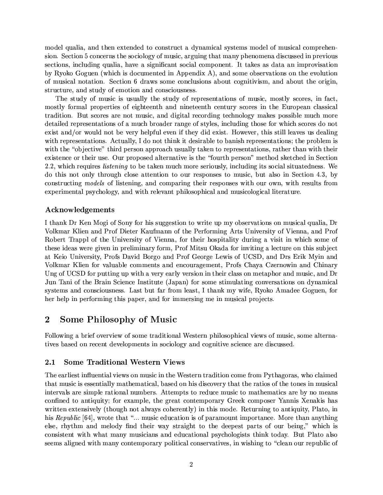model qualia, and then extended to construct a dynamical systems model of musical comprehension. Section 5 concerns the sociology of music, arguing that many phenomena discussed in previous sections, including qualia, have a significant social component. It takes as data an improvisation by Ryoko Goguen (which is documented in Appendix A), and some observations on the evolution of musical notation. Section 6 draws some conclusions about cognitivism, and about the origin, structure, and study of emotion and consciousness.

The study of music is usually the study of representations of music, mostly scores, in fact. mostly formal properties of eighteenth and nineteenth century scores in the European classical tradition. But scores are not music, and digital recording technology makes possible much more detailed representations of a much broader range of styles, including those for which scores do not exist and/or would not be very helpful even if they did exist. However, this still leaves us dealing with representations. Actually, I do not think it desirable to banish representations; the problem is with the "objective" third person approach usually taken to representations, rather than with their existence or their use. Our proposed alternative is the "fourth person" method sketched in Section 2.2, which requires *listening* to be taken much more seriously, including its social situatedness. We do this not only through close attention to our responses to music, but also in Section 4.3, by constructing models of listening, and comparing their responses with our own, with results from experimental psychology, and with relevant philosophical and musicological literature.

# Acknowledgements

I thank Dr Ken Mogi of Sony for his suggestion to write up my observations on musical qualia, Dr Volkmar Klien and Prof Dieter Kaufmann of the Performing Arts University of Vienna, and Prof Robert Trappl of the University of Vienna, for their hospitality during a visit in which some of these ideas were given in preliminary form. Prof Mitsu Okada for inviting a lecture on this subject at Keio University, Profs David Borgo and Prof George Lewis of UCSD, and Drs Erik Myin and Volkmar Klien for valuable comments and encouragement, Profs Chaya Czernowin and Chinary Ung of UCSD for putting up with a very early version in their class on metaphor and music, and Dr Jun Tani of the Brain Science Institute (Japan) for some stimulating conversations on dynamical systems and consciousness. Last but far from least, I thank my wife, Ryoko Amadee Goguen, for her help in performing this paper, and for immersing me in musical projects.

# $\bf{2}$ Some Philosophy of Music

Following a brief overview of some traditional Western philosophical views of music, some alternatives based on recent developments in sociology and cognitive science are discussed.

#### $2.1$ **Some Traditional Western Views**

The earliest influential views on music in the Western tradition come from Pythagoras, who claimed that music is essentially mathematical, based on his discovery that the ratios of the tones in musical intervals are simple rational numbers. Attempts to reduce music to mathematics are by no means confined to antiquity; for example, the great contemporary Greek composer Yannis Xenakis has written extensively (though not always coherently) in this mode. Returning to antiquity, Plato, in his Republic [64], wrote that "... music education is of paramount importance. More than anything else, rhythm and melody find their way straight to the deepest parts of our being," which is consistent with what many musicians and educational psychologists think today. But Plato also seems aligned with many contemporary political conservatives, in wishing to "clean our republic of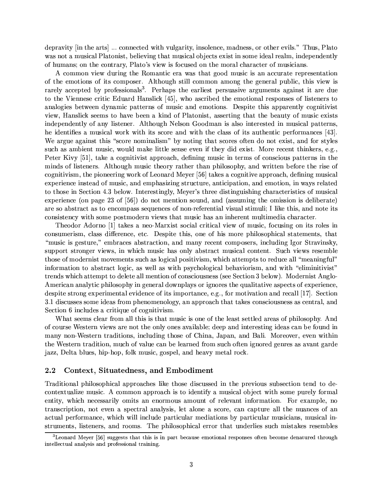depravity [in the arts] ... connected with vulgarity, insolence, madness, or other evils." Thus, Plato was not a musical Platonist, believing that musical objects exist in some ideal realm, independently of humans; on the contrary, Plato's view is focused on the moral character of musicians.

A common view during the Romantic era was that good music is an accurate representation of the emotions of its composer. Although still common among the general public, this view is rarely accepted by professionals<sup>3</sup>. Perhaps the earliest persuasive arguments against it are due to the Viennese critic Eduard Hanslick [45], who ascribed the emotional responses of listeners to analogies between dynamic patterns of music and emotions. Despite this apparently cognitivist view, Hanslick seems to have been a kind of Platonist, asserting that the beauty of music exists independently of any listener. Although Nelson Goodman is also interested in musical patterns, he identifies a musical work with its score and with the class of its authentic performances [43]. We argue against this "score nominalism" by noting that scores often do not exist, and for styles such as ambient music, would make little sense even if they did exist. More recent thinkers, e.g. Peter Kivy [51], take a cognitivist approach, defining music in terms of conscious patterns in the minds of listeners. Although music theory rather than philosophy, and written before the rise of cognitivism, the pioneering work of Leonard Meyer [56] takes a cognitive approach, defining musical experience instead of music, and emphasizing structure, anticipation, and emotion, in ways related to those in Section 4.3 below. Interestingly, Meyer's three distinguishing characteristics of musical experience (on page 23 of  $[56]$ ) do not mention sound, and (assuming the omission is deliberate) are so abstract as to encompass sequences of non-referential visual stimuli; I like this, and note its consistency with some postmodern views that music has an inherent multimedia character.

Theodor Adorno [1] takes a neo-Marxist social critical view of music, focusing on its roles in consumerism, class difference, etc. Despite this, one of his more philosophical statements, that "music is gesture," embraces abstraction, and many recent composers, including Igor Stravinsky, support stronger views, in which music has only abstract musical content. Such views resemble those of modernist movements such as logical positivism, which attempts to reduce all "meaningful" information to abstract logic, as well as with psychological behaviorism, and with "eliminitivist" trends which attempt to delete all mention of consciousness (see Section 3 below). Modernist Anglo-American analytic philosophy in general downplays or ignores the qualitative aspects of experience. despite strong experimental evidence of its importance, e.g., for motivation and recall [17]. Section 3.1 discusses some ideas from phenomenology, an approach that takes consciousness as central, and Section 6 includes a critique of cognitivism.

What seems clear from all this is that music is one of the least settled areas of philosophy. And of course Western views are not the only ones available; deep and interesting ideas can be found in many non-Western traditions, including those of China, Japan, and Bali. Moreover, even within the Western tradition, much of value can be learned from such often ignored genres as avant garde jazz, Delta blues, hip-hop, folk music, gospel, and heavy metal rock.

#### $2.2$ Context, Situatedness, and Embodiment

Traditional philosophical approaches like those discussed in the previous subsection tend to decontextualize music. A common approach is to identify a musical object with some purely formal entity, which necessarily omits an enormous amount of relevant information. For example, no transcription, not even a spectral analysis, let alone a score, can capture all the nuances of an actual performance, which will include particular mediations by particular musicians, musical instruments, listeners, and rooms. The philosophical error that underlies such mistakes resembles

 ${}^{3}$ Leonard Meyer [56] suggests that this is in part because emotional responses often become denatured through intellectual analysis and professional training.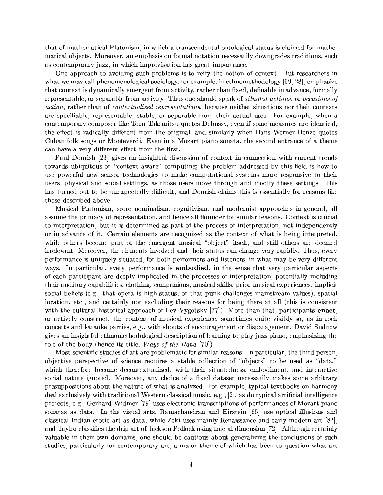that of mathematical Platonism, in which a transcendental ontological status is claimed for mathematical objects. Moreover, an emphasis on formal notation necessarily downgrades traditions, such as contemporary jazz, in which improvisation has great importance.

One approach to avoiding such problems is to reify the notion of context. But researchers in what we may call phenomenological sociology, for example, in ethnomethodology [69, 28], emphasize that context is dynamically emergent from activity, rather than fixed, definable in advance, formally representable, or separable from activity. Thus one should speak of *situated actions*, or *occasions* of *action*, rather than of *contextualized representations*, because neither situations nor their contexts are specifiable, representable, stable, or separable from their actual uses. For example, when a contemporary composer like Toru Takemitsu quotes Debussy, even if some measures are identical, the effect is radically different from the original; and similarly when Hans Werner Henze quotes Cuban folk songs or Monteverdi. Even in a Mozart piano sonata, the second entrance of a theme can have a very different effect from the first.

Paul Dourish [23] gives an insightful discussion of context in connection with current trends towards ubiquitous or "context aware" computing; the problem addressed by this field is how to use powerful new sensor technologies to make computational systems more responsive to their users' physical and social settings, as those users move through and modify these settings. This has turned out to be unexpectedly difficult, and Dourish claims this is essentially for reasons like those described above.

Musical Platonism, score nominalism, cognitivism, and modernist approaches in general, all assume the primacy of representation, and hence all flounder for similar reasons. Context is crucial to interpretation, but it is determined as part of the process of interpretation, not independently or in advance of it. Certain elements are recognized as the context of what is being interpreted. while others become part of the emergent musical "object" itself, and still others are deemed irrelevant. Moreover, the elements involved and their status can change very rapidly. Thus, every performance is uniquely situated, for both performers and listeners, in what may be very different ways. In particular, every performance is **embodied**, in the sense that very particular aspects of each participant are deeply implicated in the processes of interpretation, potentially including their auditory capabilities, clothing, companions, musical skills, prior musical experiences, implicit social beliefs (e.g., that opera is high status, or that punk challenges mainstream values), spatial location, etc., and certainly not excluding their reasons for being there at all (this is consistent with the cultural historical approach of Lev Vygotsky [77]). More than that, participants enact, or actively construct, the context of musical experience, sometimes quite visibly so, as in rock concerts and karaoke parties, e.g., with shouts of encouragement or disparagement. David Sudnow gives an insightful ethnomethodological description of learning to play jazz piano, emphasizing the role of the body (hence its title, *Ways of the Hand* [70]).

Most scientific studies of art are problematic for similar reasons. In particular, the third person. objective perspective of science requires a stable collection of "objects" to be used as "data," which therefore become decontextualized, with their situatedness, embodiment, and interactive social nature ignored. Moreover, any choice of a fixed dataset necessarily makes some arbitrary presuppositions about the nature of what is analyzed. For example, typical textbooks on harmony deal exclusively with traditional Western classical music, e.g., [2], as do typical artificial intelligence projects, e.g., Gerhard Widmer [79] uses electronic transcriptions of performances of Mozart piano sonatas as data. In the visual arts, Ramachandran and Hirstein [65] use optical illusions and classical Indian erotic art as data, while Zeki uses mainly Renaissance and early modern art [82]. and Taylor classifies the drip art of Jackson Pollock using fractal dimension [72]. Although certainly valuable in their own domains, one should be cautious about generalizing the conclusions of such studies, particularly for contemporary art, a major theme of which has been to question what art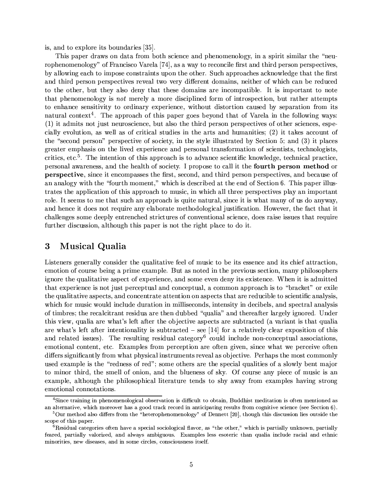is, and to explore its boundaries [35].

This paper draws on data from both science and phenomenology, in a spirit similar the "neurophenomenology" of Francisco Varela [74], as a way to reconcile first and third person perspectives, by allowing each to impose constraints upon the other. Such approaches acknowledge that the first and third person perspectives reveal two very different domains, neither of which can be reduced to the other, but they also deny that these domains are incompatible. It is important to note that phenomenology is not merely a more disciplined form of introspection, but rather attempts to enhance sensitivity to ordinary experience, without distortion caused by separation from its natural context<sup>4</sup>. The approach of this paper goes beyond that of Varela in the following ways: (1) it admits not just neuroscience, but also the third person perspectives of other sciences, especially evolution, as well as of critical studies in the arts and humanities; (2) it takes account of the "second person" perspective of society, in the style illustrated by Section 5; and (3) it places greater emphasis on the lived experience and personal transformation of scientists, technologists, critics, etc.<sup>5</sup>. The intention of this approach is to advance scientific knowledge, technical practice, personal awareness, and the health of society. I propose to call it the fourth person method or **perspective**, since it encompasses the first, second, and third person perspectives, and because of an analogy with the "fourth moment." which is described at the end of Section 6. This paper illustrates the application of this approach to music, in which all three perspectives play an important role. It seems to me that such an approach is quite natural, since it is what many of us do anyway, and hence it does not require any elaborate methodological justification. However, the fact that it challenges some deeply entrenched strictures of conventional science, does raise issues that require further discussion, although this paper is not the right place to do it.

### $\bf{3}$ **Musical Qualia**

Listeners generally consider the qualitative feel of music to be its essence and its chief attraction, emotion of course being a prime example. But as noted in the previous section, many philosophers ignore the qualitative aspect of experience, and some even deny its existence. When it is admitted that experience is not just perceptual and conceptual, a common approach is to "bracket" or exile the qualitative aspects, and concentrate attention on aspects that are reducible to scientific analysis, which for music would include duration in milliseconds, intensity in decibels, and spectral analysis of timbres; the recalcitrant residua are then dubbed "qualia" and thereafter largely ignored. Under this view, qualia are what's left after the objective aspects are subtracted (a variant is that qualia are what's left after intentionality is subtracted  $-$  see [14] for a relatively clear exposition of this and related issues). The resulting residual category<sup>6</sup> could include non-conceptual associations, emotional content, etc. Examples from perception are often given, since what we perceive often differs significantly from what physical instruments reveal as objective. Perhaps the most commonly used example is the "redness of red"; some others are the special qualities of a slowly bent major to minor third, the smell of onion, and the blueness of sky. Of course any piece of music is an example, although the philosophical literature tends to shy away from examples having strong emotional connotations.

<sup>&</sup>lt;sup>4</sup>Since training in phenomenological observation is difficult to obtain, Buddhist meditation is often mentioned as an alternative, which moreover has a good track record in anticipating results from cognitive science (see Section 6).

 ${}^{5}$ Our method also differs from the "heterophenomenology" of Dennett [20], though this discussion lies outside the scope of this paper.

 ${}^6$ Residual categories often have a special sociological flavor, as "the other," which is partially unknown, partially feared, partially valorized, and always ambiguous. Examples less esoteric than qualia include racial and ethnic minorities, new diseases, and in some circles, consciousness itself.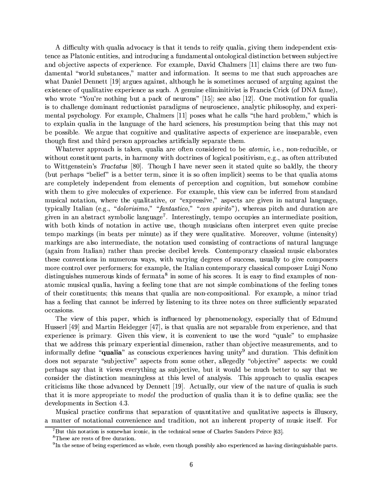A difficulty with qualia advocacy is that it tends to reify qualia, giving them independent existence as Platonic entities, and introducing a fundamental ontological distinction between subjective and objective aspects of experience. For example, David Chalmers [11] claims there are two fundamental "world substances," matter and information. It seems to me that such approaches are what Daniel Dennett [19] argues against, although he is sometimes accused of arguing against the existence of qualitative experience as such. A genuine eliminitivist is Francis Crick (of DNA fame), who wrote "You're nothing but a pack of neurons" [15]; see also [12]. One motivation for qualia is to challenge dominant reductionist paradigms of neuroscience, analytic philosophy, and experimental psychology. For example, Chalmers [11] poses what he calls "the hard problem," which is to explain qualia in the language of the hard sciences, his presumption being that this may not be possible. We argue that cognitive and qualitative aspects of experience are inseparable, even though first and third person approaches artificially separate them.

Whatever approach is taken, qualia are often considered to be atomic, i.e., non-reducible, or without constituent parts, in harmony with doctrines of logical positivism, e.g., as often attributed to Wittgenstein's Tractatus [80]. Though I have never seen it stated quite so baldly, the theory (but perhaps "belief" is a better term, since it is so often implicit) seems to be that qualia atoms are completely independent from elements of perception and cognition, but somehow combine with them to give molecules of experience. For example, this view can be inferred from standard musical notation, where the qualitative, or "expressive," aspects are given in natural language, typically Italian (e.g., "dolorisimo," "fantastico," "con spirito"), whereas pitch and duration are given in an abstract symbolic language<sup>7</sup>. Interestingly, tempo occupies an intermediate position, with both kinds of notation in active use, though musicians often interpret even quite precise tempo markings (in beats per minute) as if they were qualitative. Moreover, volume (intensity) markings are also intermediate, the notation used consisting of contractions of natural language (again from Italian) rather than precise decibel levels. Contemporary classical music elaborates these conventions in numerous ways, with varying degrees of success, usually to give composers more control over performers; for example, the Italian contemporary classical composer Luigi Nono distinguishes numerous kinds of fermata<sup>8</sup> in some of his scores. It is easy to find examples of nonatomic musical qualia, having a feeling tone that are not simple combinations of the feeling tones of their constituents; this means that qualia are non-compositional. For example, a minor triad has a feeling that cannot be inferred by listening to its three notes on three sufficiently separated occasions.

The view of this paper, which is influenced by phenomenology, especially that of Edmund Husserl [49] and Martin Heidegger [47], is that qualia are not separable from experience, and that experience is primary. Given this view, it is convenient to use the word "quale" to emphasize that we address this primary experiential dimension, rather than objective measurements, and to informally define "qualia" as conscious experiences having unity<sup>9</sup> and duration. This definition does not separate "subjective" aspects from some other, allegedly "objective" aspects: we could perhaps say that it views everything as subjective, but it would be much better to say that we consider the distinction meaningless at this level of analysis. This approach to qualia escapes criticisms like those advanced by Dennett [19]. Actually, our view of the nature of qualia is such that it is more appropriate to *model* the production of qualia than it is to define qualia; see the developments in Section 4.3.

Musical practice confirms that separation of quantitative and qualitative aspects is illusory, a matter of notational convenience and tradition, not an inherent property of music itself. For

 ${}^{7}$ But this notation is somewhat iconic, in the technical sense of Charles Sanders Peirce [63].

<sup>&</sup>lt;sup>8</sup>These are rests of free duration.

<sup>&</sup>lt;sup>9</sup>In the sense of being experienced as whole, even though possibly also experienced as having distinguishable parts.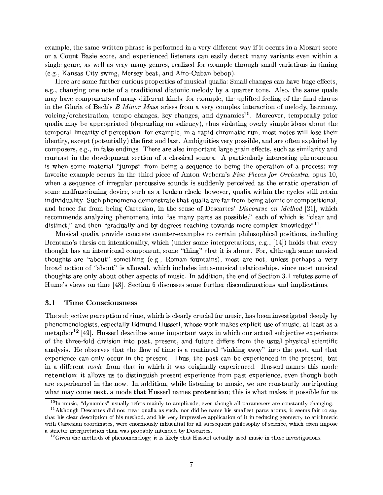example, the same written phrase is performed in a very different way if it occurs in a Mozart score or a Count Basie score, and experienced listeners can easily detect many variants even within a single genre, as well as very many genres, realized for example through small variations in timing (e.g., Kansas City swing, Mersey beat, and Afro-Cuban bebop).

Here are some further curious properties of musical qualia: Small changes can have huge effects, e.g., changing one note of a traditional diatonic melody by a quarter tone. Also, the same quale may have components of many different kinds; for example, the uplifted feeling of the final chorus in the Gloria of Bach's B Minor Mass arises from a very complex interaction of melody, harmony, voicing/orchestration, tempo changes, key changes, and dynamics<sup>10</sup>. Moreover, temporally prior qualia may be appropriated (depending on saliency), thus violating overly simple ideas about the temporal linearity of perception; for example, in a rapid chromatic run, most notes will lose their identity, except (potentially) the first and last. Ambiguities very possible, and are often exploited by composers, e.g., in false endings. There are also important large grain effects, such as similarity and contrast in the development section of a classical sonata. A particularly interesting phenomenon is when some material "jumps" from being a sequence to being the operation of a process: my favorite example occurs in the third piece of Anton Webern's Five Pieces for Orchestra, opus 10, when a sequence of irregular percussive sounds is suddenly perceived as the erratic operation of some malfunctioning device, such as a broken clock; however, qualia within the cycles still retain individuality. Such phenomena demonstrate that qualia are far from being atomic or compositional, and hence far from being Cartesian, in the sense of Descartes' Discourse on Method [21], which recommends analyzing phenomena into "as many parts as possible," each of which is "clear and distinct," and then "gradually and by degrees reaching towards more complex knowledge"<sup>11</sup>.

Musical qualia provide concrete counter-examples to certain philosophical positions, including Brentano's thesis on intentionality, which (under some interpretations, e.g., [14]) holds that every thought has an intentional component, some "thing" that it is about. For, although some musical thoughts are "about" something (e.g., Roman fountains), most are not, unless perhaps a very broad notion of "about" is allowed, which includes intra-musical relationships, since most musical thoughts are only about other aspects of music. In addition, the end of Section 3.1 refutes some of Hume's views on time [48]. Section 6 discusses some further disconfirmations and implications.

#### **Time Consciousness**  $3.1$

The subjective perception of time, which is clearly crucial for music, has been investigated deeply by phenomenologists, especially Edmund Husserl, whose work makes explicit use of music, at least as a metaphor<sup>12</sup> [49]. Husserl describes some important ways in which our actual subjective experience of the three-fold division into past, present, and future differs from the usual physical scientific analysis. He observes that the flow of time is a continual "sinking away" into the past, and that experience can only occur in the present. Thus, the past can be experienced in the present, but in a different mode from that in which it was originally experienced. Husserl names this mode retention; it allows us to distinguish present experience from past experience, even though both are experienced in the now. In addition, while listening to music, we are constantly anticipating what may come next, a mode that Husserl names **protention**; this is what makes it possible for us

 $10$ In music, "dynamics" usually refers mainly to amplitude, even though all parameters are constantly changing.

<sup>&</sup>lt;sup>11</sup> Although Descartes did not treat qualia as such, nor did he name his smallest parts atoms, it seems fair to say that his clear description of his method, and his very impressive application of it in reducing geometry to arithmetic with Cartesian coordinates, were enormously influential for all subsequent philosophy of science, which often impose a stricter interpretation than was probably intended by Descartes.

 $^{12}$ Given the methods of phenomenology, it is likely that Husserl actually used music in these investigations.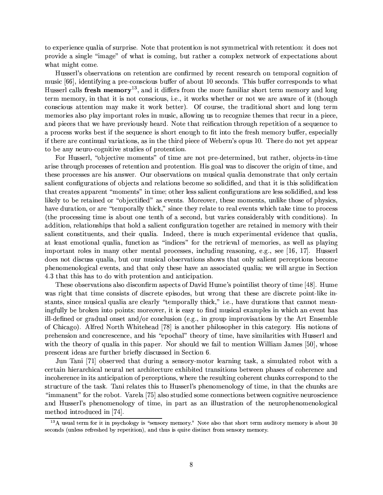to experience qualia of surprise. Note that protention is not symmetrical with retention: it does not provide a single "image" of what is coming, but rather a complex network of expectations about what might come.

Husserl's observations on retention are confirmed by recent research on temporal cognition of music [66], identifying a pre-conscious buffer of about 10 seconds. This buffer corresponds to what Husserl calls fresh memory<sup>13</sup>, and it differs from the more familiar short term memory and long term memory, in that it is not conscious, i.e., it works whether or not we are aware of it (though conscious attention may make it work better). Of course, the traditional short and long term memories also play important roles in music, allowing us to recognize themes that recur in a piece, and pieces that we have previously heard. Note that reification through repetition of a sequence to a process works best if the sequence is short enough to fit into the fresh memory buffer, especially if there are continual variations, as in the third piece of Webern's opus 10. There do not yet appear to be any neuro-cognitive studies of protention.

For Husserl, "objective moments" of time are not pre-determined, but rather, objects-in-time arise through processes of retention and protention. His goal was to discover the origin of time, and these processes are his answer. Our observations on musical qualia demonstrate that only certain salient configurations of objects and relations become so solidified, and that it is this solidification that creates apparent "moments" in time; other less salient configurations are less solidified, and less likely to be retained or "objectified" as events. Moreover, these moments, unlike those of physics, have duration, or are "temporally thick," since they relate to real events which take time to process (the processing time is about one tenth of a second, but varies considerably with conditions). In addition, relationships that hold a salient configuration together are retained in memory with their salient constituents, and their qualia. Indeed, there is much experimental evidence that qualia. at least emotional qualia, function as "indices" for the retrieval of memories, as well as playing important roles in many other mental processes, including reasoning, e.g., see [16, 17]. Husserl does not discuss qualia, but our musical observations shows that only salient perceptions become phenomenological events, and that only these have an associated qualia; we will argue in Section 4.3 that this has to do with protention and anticipation.

These observations also disconfirm aspects of David Hume's pointilist theory of time [48]. Hume was right that time consists of discrete episodes, but wrong that these are discrete point-like instants, since musical qualia are clearly "temporally thick," i.e., have durations that cannot meaningfully be broken into points; moreover, it is easy to find musical examples in which an event has ill-defined or gradual onset and/or conclusion (e.g., in group improvisations by the Art Ensemble of Chicago). Alfred North Whitehead [78] is another philosopher in this category. His notions of prehension and concrescence, and his "epochal" theory of time, have similarities with Husserl and with the theory of qualia in this paper. Nor should we fail to mention William James [50], whose prescent ideas are further briefly discussed in Section 6.

Jun Tani [71] observed that during a sensory-motor learning task, a simulated robot with a certain hierarchical neural net architecture exhibited transitions between phases of coherence and incoherence in its anticipation of perceptions, where the resulting coherent chunks correspond to the structure of the task. Tani relates this to Husserl's phenomenology of time, in that the chunks are "immanent" for the robot. Varela [75] also studied some connections between cognitive neuroscience and Husserl's phenomenology of time, in part as an illustration of the neurophenomenological method introduced in [74].

<sup>&</sup>lt;sup>13</sup>A usual term for it in psychology is "sensory memory." Note also that short term auditory memory is about 30 seconds (unless refreshed by repetition), and thus is quite distinct from sensory memory.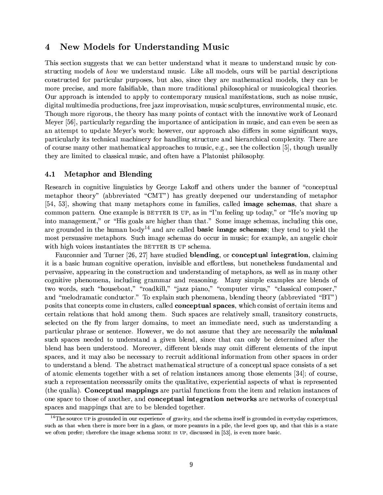# **New Models for Understanding Music**  $\overline{4}$

This section suggests that we can better understand what it means to understand music by constructing models of how we understand music. Like all models, ours will be partial descriptions constructed for particular purposes, but also, since they are mathematical models, they can be more precise, and more falsifiable, than more traditional philosophical or musicological theories. Our approach is intended to apply to contemporary musical manifestations, such as noise music. digital multimedia productions, free jazz improvisation, music sculptures, environmental music, etc. Though more rigorous, the theory has many points of contact with the innovative work of Leonard Meyer [56], particularly regarding the importance of anticipation in music, and can even be seen as an attempt to update Meyer's work; however, our approach also differs in some significant ways, particularly its technical machinery for handling structure and hierarchical complexity. There are of course many other mathematical approaches to music, e.g., see the collection [5], though usually they are limited to classical music, and often have a Platonist philosophy.

#### $4.1$ **Metaphor and Blending**

Research in cognitive linguistics by George Lakoff and others under the banner of "conceptual" metaphor theory" (abbreviated "CMT") has greatly deepened our understanding of metaphor [54, 53], showing that many metaphors come in families, called **image schemas**, that share a common pattern. One example is BETTER IS UP, as in "I'm feeling up today," or "He's moving up into management," or "His goals are higher than that." Some image schemas, including this one, are grounded in the human body<sup>14</sup> and are called **basic image schemas**; they tend to yield the most persuasive metaphors. Such image schemas do occur in music; for example, an angelic choir with high voices instantiates the BETTER IS UP schema.

Fauconnier and Turner [26, 27] have studied **blending**, or **conceptual integration**, claiming it is a basic human cognitive operation, invisible and effortless, but nonetheless fundamental and pervasive, appearing in the construction and understanding of metaphors, as well as in many other cognitive phenomena, including grammar and reasoning. Many simple examples are blends of two words, such "houseboat," "roadkill," "jazz piano," "computer virus," "classical composer," and "melodramatic conductor." To explain such phenomena, blending theory (abbreviated "BT") posits that concepts come in clusters, called **conceptual spaces**, which consist of certain items and certain relations that hold among them. Such spaces are relatively small, transitory constructs, selected on the fly from larger domains, to meet an immediate need, such as understanding a particular phrase or sentence. However, we do not assume that they are necessarily the minimal such spaces needed to understand a given blend, since that can only be determined after the blend has been understood. Moreover, different blends may omit different elements of the input spaces, and it may also be necessary to recruit additional information from other spaces in order to understand a blend. The abstract mathematical structure of a conceptual space consists of a set of atomic elements together with a set of relation instances among those elements [34]; of course, such a representation necessarily omits the qualitative, experiential aspects of what is represented (the qualia). Conceptual mappings are partial functions from the item and relation instances of one space to those of another, and **conceptual integration networks** are networks of conceptual spaces and mappings that are to be blended together.

 $14$ The source UP is grounded in our experience of gravity, and the schema itself is grounded in everyday experiences, such as that when there is more beer in a glass, or more peanuts in a pile, the level goes up, and that this is a state we often prefer; therefore the image schema MORE IS UP, discussed in [53], is even more basic.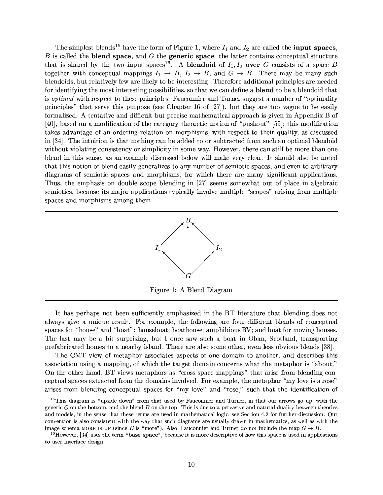The simplest blends<sup>15</sup> have the form of Figure 1, where  $I_1$  and  $I_2$  are called the **input spaces**,  $B$  is called the **blend space**, and  $G$  the **generic space**; the latter contains conceptual structure that is shared by the two input spaces<sup>16</sup>. A **blendoid** of  $I_1, I_2$  **over** G consists of a space B together with conceptual mappings  $I_1 \rightarrow B$ ,  $I_2 \rightarrow B$ , and  $G \rightarrow B$ . There may be many such blendoids, but relatively few are likely to be interesting. Therefore additional principles are needed for identifying the most interesting possibilities, so that we can define a **blend** to be a blendoid that is *optimal* with respect to these principles. Fauconnier and Turner suggest a number of "optimality" principles" that serve this purpose (see Chapter 16 of  $[27]$ ), but they are too vague to be easily formalized. A tentative and difficult but precise mathematical approach is given in Appendix B of [40], based on a modification of the category theoretic notion of "pushout" [55]; this modification takes advantage of an ordering relation on morphisms, with respect to their quality, as discussed in [34]. The intuition is that nothing can be added to or subtracted from such an optimal blendoid without violating consistency or simplicity in some way. However, there can still be more than one blend in this sense, as an example discussed below will make very clear. It should also be noted that this notion of blend easily generalizes to any number of semiotic spaces, and even to arbitrary diagrams of semiotic spaces and morphisms, for which there are many significant applications. Thus, the emphasis on double scope blending in [27] seems somewhat out of place in algebraic semiotics, because its major applications typically involve multiple "scopes" arising from multiple spaces and morphisms among them.



Figure 1: A Blend Diagram

It has perhaps not been sufficiently emphasized in the BT literature that blending does not always give a unique result. For example, the following are four different blends of conceptual spaces for "house" and "boat": houseboat; boathouse; amphibious RV; and boat for moving houses. The last may be a bit surprising, but I once saw such a boat in Oban, Scotland, transporting prefabricated homes to a nearby island. There are also some other, even less obvious blends [38].

The CMT view of metaphor associates aspects of one domain to another, and describes this association using a mapping, of which the target domain concerns what the metaphor is "about." On the other hand, BT views metaphors as "cross-space mappings" that arise from blending conceptual spaces extracted from the domains involved. For example, the metaphor "my love is a rose" arises from blending conceptual spaces for "my love" and "rose." such that the identification of

<sup>&</sup>lt;sup>15</sup>This diagram is "upside down" from that used by Fauconnier and Turner, in that our arrows go up, with the generic  $G$  on the bottom, and the blend  $B$  on the top. This is due to a pervasive and natural duality between theories and models, in the sense that these terms are used in mathematical logic; see Section 4.2 for further discussion. Our convention is also consistent with the way that such diagrams are usually drawn in mathematics, as well as with the image schema MORE IS UP (since B is "more"). Also, Fauconnier and Turner do not include the map  $G \rightarrow B$ .

 $^{16}$ However, [34] uses the term "base space", because it is more descriptive of how this space is used in applications to user interface design.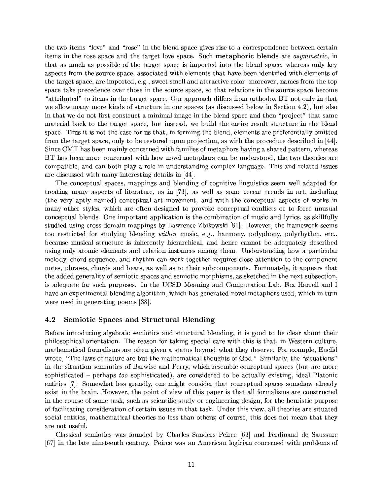the two items "love" and "rose" in the blend space gives rise to a correspondence between certain items in the rose space and the target love space. Such metaphoric blends are asymmetric, in that as much as possible of the target space is imported into the blend space, whereas only key aspects from the source space, associated with elements that have been identified with elements of the target space, are imported, e.g., sweet smell and attractive color; moreover, names from the top space take precedence over those in the source space, so that relations in the source space become "attributed" to items in the target space. Our approach differs from orthodox BT not only in that we allow many more kinds of structure in our spaces (as discussed below in Section 4.2), but also in that we do not first construct a minimal image in the blend space and then "project" that same material back to the target space, but instead, we build the entire result structure in the blend space. Thus it is not the case for us that, in forming the blend, elements are preferentially omitted from the target space, only to be restored upon projection, as with the procedure described in [44]. Since CMT has been mainly concerned with families of metaphors having a shared pattern, whereas BT has been more concerned with how novel metaphors can be understood, the two theories are compatible, and can both play a role in understanding complex language. This and related issues are discussed with many interesting details in [44].

The conceptual spaces, mappings and blending of cognitive linguistics seem well adapted for treating many aspects of literature, as in [73], as well as some recent trends in art, including (the very aptly named) conceptual art movement, and with the conceptual aspects of works in many other styles, which are often designed to provoke conceptual conflicts or to force unusual conceptual blends. One important application is the combination of music and lyrics, as skillfully studied using cross-domain mappings by Lawrence Zbikowski [81]. However, the framework seems too restricted for studying blending within music, e.g., harmony, polyphony, polyrhythm, etc., because musical structure is inherently hierarchical, and hence cannot be adequately described using only atomic elements and relation instances among them. Understanding how a particular melody, chord sequence, and rhythm can work together requires close attention to the component notes, phrases, chords and beats, as well as to their subcomponents. Fortunately, it appears that the added generality of semiotic spaces and semiotic morphisms, as sketched in the next subsection. is adequate for such purposes. In the UCSD Meaning and Computation Lab, Fox Harrell and I have an experimental blending algorithm, which has generated novel metaphors used, which in turn were used in generating poems [38].

#### **Semiotic Spaces and Structural Blending** 4.2

Before introducing algebraic semiotics and structural blending, it is good to be clear about their philosophical orientation. The reason for taking special care with this is that, in Western culture. mathematical formalisms are often given a status beyond what they deserve. For example, Euclid wrote, "The laws of nature are but the mathematical thoughts of God." Similarly, the "situations" in the situation semantics of Barwise and Perry, which resemble conceptual spaces (but are more sophisticated – perhaps too sophisticated), are considered to be actually existing, ideal Platonic entities [7]. Somewhat less grandly, one might consider that conceptual spaces somehow already exist in the brain. However, the point of view of this paper is that all formalisms are constructed in the course of some task, such as scientific study or engineering design, for the heuristic purpose of facilitating consideration of certain issues in that task. Under this view, all theories are situated social entities, mathematical theories no less than others; of course, this does not mean that they are not useful.

Classical semiotics was founded by Charles Sanders Peirce [63] and Ferdinand de Saussure [67] in the late nineteenth century. Peirce was an American logician concerned with problems of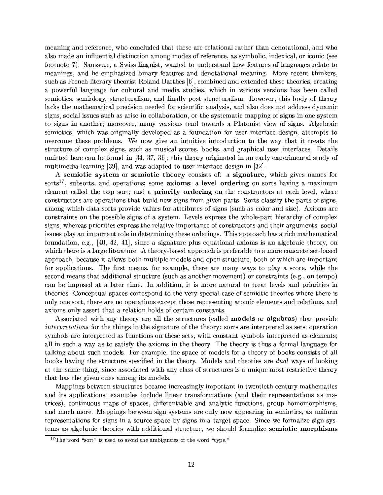meaning and reference, who concluded that these are relational rather than denotational, and who also made an influential distinction among modes of reference, as symbolic, indexical, or iconic (see footnote 7). Saussure, a Swiss linguist, wanted to understand how features of languages relate to meanings, and he emphasized binary features and denotational meaning. More recent thinkers, such as French literary theorist Roland Barthes [6], combined and extended these theories, creating a powerful language for cultural and media studies, which in various versions has been called semiotics, semiology, structuralism, and finally post-structuralism. However, this body of theory lacks the mathematical precision needed for scientific analysis, and also does not address dynamic signs, social issues such as arise in collaboration, or the systematic mapping of signs in one system to signs in another; moreover, many versions tend towards a Platonist view of signs. Algebraic semiotics, which was originally developed as a foundation for user interface design, attempts to overcome these problems. We now give an intuitive introduction to the way that it treats the structure of complex signs, such as musical scores, books, and graphical user interfaces. Details omitted here can be found in [34, 37, 36]; this theory originated in an early experimental study of multimedia learning [39], and was adapted to user interface design in [32].

A semiotic system or semiotic theory consists of: a signature, which gives names for sorts<sup>17</sup>, subsorts, and operations; some **axioms**; a level ordering on sorts having a maximum element called the top sort; and a priority ordering on the constructors at each level, where constructors are operations that build new signs from given parts. Sorts classify the parts of signs, among which data sorts provide values for attributes of signs (such as color and size). Axioms are constraints on the possible signs of a system. Levels express the whole-part hierarchy of complex signs, whereas priorities express the relative importance of constructors and their arguments; social issues play an important role in determining these orderings. This approach has a rich mathematical foundation, e.g., [40, 42, 41], since a signature plus equational axioms is an algebraic theory, on which there is a large literature. A theory-based approach is preferable to a more concrete set-based approach, because it allows both multiple models and open structure, both of which are important for applications. The first means, for example, there are many ways to play a score, while the second means that additional structure (such as another movement) or constraints (e.g., on tempo) can be imposed at a later time. In addition, it is more natural to treat levels and priorities in theories. Conceptual spaces correspond to the very special case of semiotic theories where there is only one sort, there are no operations except those representing atomic elements and relations, and axioms only assert that a relation holds of certain constants.

Associated with any theory are all the structures (called **models** or **algebras**) that provide *interpretations* for the things in the signature of the theory: sorts are interpreted as sets; operation symbols are interpreted as functions on these sets, with constant symbols interpreted as elements; all in such a way as to satisfy the axioms in the theory. The theory is thus a formal language for talking about such models. For example, the space of models for a theory of books consists of all books having the structure specified in the theory. Models and theories are *dual* ways of looking at the same thing, since associated with any class of structures is a unique most restrictive theory that has the given ones among its models.

Mappings between structures became increasingly important in twentieth century mathematics and its applications; examples include linear transformations (and their representations as matrices), continuous maps of spaces, differentiable and analytic functions, group homomorphisms. and much more. Mappings between sign systems are only now appearing in semiotics, as uniform representations for signs in a source space by signs in a target space. Since we formalize sign systems as algebraic theories with additional structure, we should formalize **semiotic morphisms** 

 $17$ <sup>17</sup>The word "sort" is used to avoid the ambiguities of the word "type."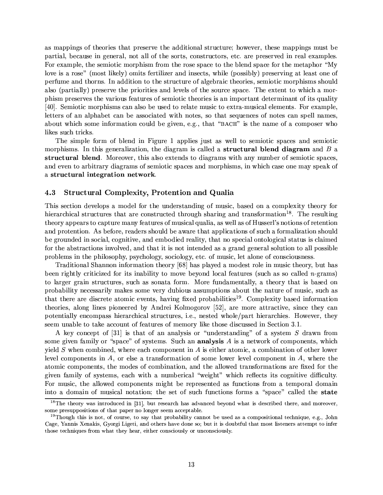as mappings of theories that preserve the additional structure; however, these mappings must be partial, because in general, not all of the sorts, constructors, etc. are preserved in real examples. For example, the semiotic morphism from the rose space to the blend space for the metaphor "My love is a rose" (most likely) omits fertilizer and insects, while (possibly) preserving at least one of perfume and thorns. In addition to the structure of algebraic theories, semiotic morphisms should also (partially) preserve the priorities and levels of the source space. The extent to which a morphism preserves the various features of semiotic theories is an important determinant of its quality [40]. Semiotic morphisms can also be used to relate music to extra-musical elements. For example, letters of an alphabet can be associated with notes, so that sequences of notes can spell names, about which some information could be given, e.g., that "BACH" is the name of a composer who likes such tricks.

The simple form of blend in Figure 1 applies just as well to semiotic spaces and semiotic morphisms. In this generalization, the diagram is called a **structural blend diagram** and B a structural blend. Moreover, this also extends to diagrams with any number of semiotic spaces, and even to arbitrary diagrams of semiotic spaces and morphisms, in which case one may speak of a structural integration network.

#### **Structural Complexity, Protention and Qualia** 4.3

This section develops a model for the understanding of music, based on a complexity theory for hierarchical structures that are constructed through sharing and transformation<sup>18</sup>. The resulting theory appears to capture many features of musical qualia, as well as of Husserl's notions of retention and protention. As before, readers should be aware that applications of such a formalization should be grounded in social, cognitive, and embodied reality, that no special ontological status is claimed for the abstractions involved, and that it is not intended as a grand general solution to all possible problems in the philosophy, psychology, sociology, etc. of music, let alone of consciousness.

Traditional Shannon information theory [68] has played a modest role in music theory, but has been rightly criticized for its inability to move beyond local features (such as so called  $n$ -grams) to larger grain structures, such as sonata form. More fundamentally, a theory that is based on probability necessarily makes some very dubious assumptions about the nature of music, such as that there are discrete atomic events, having fixed probabilities<sup>19</sup>. Complexity based information theories, along lines pioneered by Andrei Kolmogorov [52], are more attractive, since they can potentially encompass hierarchical structures, i.e., nested whole/part hierarchies. However, they seem unable to take account of features of memory like those discussed in Section 3.1.

A key concept of [31] is that of an analysis or "understanding" of a system S drawn from some given family or "space" of systems. Such an **analysis** A is a network of components, which yield  $S$  when combined, where each component in  $A$  is either atomic, a combination of other lower level components in  $A$ , or else a transformation of some lower level component in  $A$ , where the atomic components, the modes of combination, and the allowed transformations are fixed for the given family of systems, each with a numberical "weight" which reflects its cognitive difficulty. For music, the allowed components might be represented as functions from a temporal domain into a domain of musical notation; the set of such functions forms a "space" called the state

<sup>&</sup>lt;sup>18</sup>The theory was introduced in [31], but research has advanced beyond what is described there, and moreover, some presuppositions of that paper no longer seem acceptable.

<sup>&</sup>lt;sup>19</sup>Though this is not, of course, to say that probability cannot be used as a compositional technique, e.g., John Cage, Yannis Xenakis, Gyorgi Ligeti, and others have done so; but it is doubtful that most listeners attempt to infer those techniques from what they hear, either consciously or unconsciously.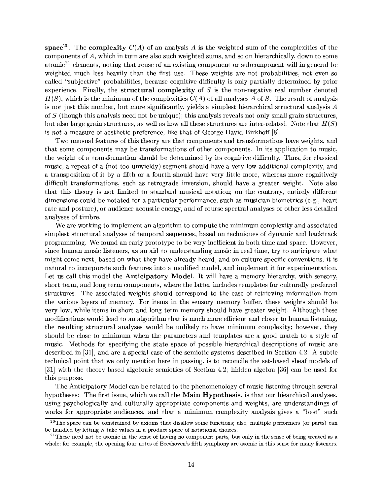space<sup>20</sup>. The complexity  $C(A)$  of an analysis A is the weighted sum of the complexities of the components of A, which in turn are also such weighted sums, and so on hierarchically, down to some atomic<sup>21</sup> elements, noting that reuse of an existing component or subcomponent will in general be weighted much less heavily than the first use. These weights are not probabilities, not even so called "subjective" probabilities, because cognitive difficulty is only partially determined by prior experience. Finally, the **structural complexity** of  $S$  is the non-negative real number denoted  $H(S)$ , which is the minimum of the complexities  $C(A)$  of all analyses A of S. The result of analysis is not just this number, but more significantly, yields a simplest hierarchical structural analysis  $A$ of S (though this analysis need not be unique); this analysis reveals not only small grain structures. but also large grain structures, as well as how all these structures are inter-related. Note that  $H(S)$ is not a measure of aesthetic preference, like that of George David Birkhoff [8].

Two unusual features of this theory are that components and transformations have weights, and that some components may be transformations of other components. In its application to music. the weight of a transformation should be determined by its cognitive difficulty. Thus, for classical music, a repeat of a (not too unwieldy) segment should have a very low additional complexity, and a transposition of it by a fifth or a fourth should have very little more, whereas more cognitively difficult transformations, such as retrograde inversion, should have a greater weight. Note also that this theory is not limited to standard musical notation; on the contrary, entirely different dimensions could be notated for a particular performance, such as musician biometrics (e.g., heart rate and posture), or audience acoustic energy, and of course spectral analyses or other less detailed analyses of timbre.

We are working to implement an algorithm to compute the minimum complexity and associated simplest structural analyses of temporal sequences, based on techniques of dynamic and backtrack programming. We found an early prototype to be very inefficient in both time and space. However. since human music listeners, as an aid to understanding music in real time, try to anticipate what might come next, based on what they have already heard, and on culture-specific conventions, it is natural to incorporate such features into a modified model, and implement it for experimentation. Let us call this model the **Anticipatory Model**. It will have a memory hierarchy, with sensory, short term, and long term components, where the latter includes templates for culturally preferred structures. The associated weights should correspond to the ease of retrieving information from the various layers of memory. For items in the sensory memory buffer, these weights should be very low, while items in short and long term memory should have greater weight. Although these modifications would lead to an algorithm that is much more efficient and closer to human listening, the resulting structural analyses would be unlikely to have minimum complexity; however, they should be close to minimum when the parameters and templates are a good match to a style of music. Methods for specifying the state space of possible hierarchical descriptions of music are described in [31], and are a special case of the semiotic systems described in Section 4.2. A subtle technical point that we only mention here in passing, is to reconcile the set-based sheaf models of [31] with the theory-based algebraic semiotics of Section 4.2; hidden algebra [36] can be used for this purpose.

The Anticipatory Model can be related to the phenomenology of music listening through several hypotheses: The first issue, which we call the Main Hypothesis, is that our hiearchical analyses, using psychologically and culturally appropriate components and weights, are understandings of works for appropriate audiences, and that a minimum complexity analysis gives a "best" such

<sup>&</sup>lt;sup>20</sup>The space can be constrained by axioms that disallow some functions; also, multiple performers (or parts) can be handled by letting  $S$  take values in a product space of notational choices.

<sup>&</sup>lt;sup>21</sup>These need not be atomic in the sense of having no component parts, but only in the sense of being treated as a whole; for example, the opening four notes of Beethoven's fifth symphony are atomic in this sense for many listeners.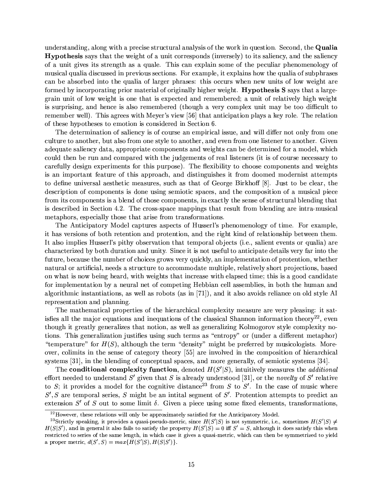understanding, along with a precise structural analysis of the work in question. Second, the Qualia **Hypothesis** says that the weight of a unit corresponds (inversely) to its saliency, and the saliency of a unit gives its strength as a quale. This can explain some of the peculiar phenomenology of musical qualia discussed in previous sections. For example, it explains how the qualia of subphrases can be absorbed into the qualia of larger phrases: this occurs when new units of low weight are formed by incorporating prior material of originally higher weight. **Hypothesis S** says that a largegrain unit of low weight is one that is expected and remembered; a unit of relatively high weight is surprising, and hence is also remembered (though a very complex unit may be too difficult to remember well). This agrees with Meyer's view [56] that anticipation plays a key role. The relation of these hypotheses to emotion is considered in Section 6.

The determination of saliency is of course an empirical issue, and will differ not only from one culture to another, but also from one style to another, and even from one listener to another. Given adequate saliency data, appropriate components and weights can be determined for a model, which could then be run and compared with the judgements of real listeners (it is of course necessary to carefully design experiments for this purpose). The flexibility to choose components and weights is an important feature of this approach, and distinguishes it from doomed modernist attempts to define universal aesthetic measures, such as that of George Birkhoff [8]. Just to be clear, the description of components is done using semiotic spaces, and the composition of a musical piece from its components is a blend of those components, in exactly the sense of structural blending that is described in Section 4.2. The cross-space mappings that result from blending are intra-musical metaphors, especially those that arise from transformations.

The Anticipatory Model captures aspects of Husserl's phenomenology of time. For example, it has versions of both retention and protention, and the right kind of relationship between them. It also implies Husserl's pithy observation that temporal objects (i.e., salient events or qualia) are characterized by both duration and unity. Since it is not useful to anticipate details very far into the future, because the number of choices grows very quickly, an implementation of protention, whether natural or artificial, needs a structure to accommodate multiple, relatively short projections, based on what is now being heard, with weights that increase with elapsed time; this is a good candidate for implementation by a neural net of competing Hebbian cell assemblies, in both the human and algorithmic instantiations, as well as robots (as in  $[71]$ ), and it also avoids reliance on old style AI representation and planning.

The mathematical properties of the hierarchical complexity measure are very pleasing: it satis fies all the major equations and inequations of the classical Shannon information theory<sup>22</sup>, even though it greatly generalizes that notion, as well as generalizing Kolmogorov style complexity notions. This generalization justifies using such terms as "entropy" or (under a different metaphor) "temperature" for  $H(S)$ , although the term "density" might be preferred by musicologists. Moreover, colimits in the sense of category theory [55] are involved in the composition of hierarchical systems [31], in the blending of conceptual spaces, and more generally, of semiotic systems [34].

The conditional complexity function, denoted  $H(S'|S)$ , intuitively measures the *additional* effort needed to understand S' given that S is already understood [31], or the novelty of S' relative to S; it provides a model for the cognitive distance<sup>23</sup> from S to S'. In the case of music where  $S', S$  are temporal series, S might be an initial segment of S'. Protention attempts to predict an extension S' of S out to some limit  $\delta$ . Given a piece using some fixed elements, transformations,

 $^{22}$ However, these relations will only be approximately satisfied for the Anticipatory Model.

<sup>&</sup>lt;sup>23</sup>Strictly speaking, it provides a quasi-pseudo-metric, since  $H(S'|S)$  is not symmetric, i.e., sometimes  $H(S'|S) \neq$  $H(S|S')$ , and in general it also fails to satisfy the property  $H(S'|S) = 0$  iff  $S' = S$ , although it does satisfy this when restricted to series of the same length, in which case it gives a quasi-metric, which can then be symmetrized to yield a proper metric,  $d(S', S) = max{H(S'|S), H(S|S')}.$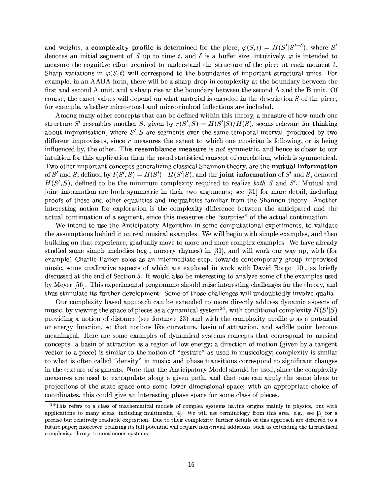and weights, a complexity profile is determined for the piece,  $\varphi(S, t) = H(S^t | S^{t-\delta})$ , where  $S^t$ denotes an initial segment of S up to time t, and  $\delta$  is a buffer size; intuitively,  $\varphi$  is intended to measure the cognitive effort required to understand the structure of the piece at each moment  $t$ . Sharp variations in  $\varphi(S,t)$  will correspond to the boundaries of important structural units. For example, in an AABA form, there will be a sharp drop in complexity at the boundary between the first and second A unit, and a sharp rise at the boundary between the second A and the B unit. Of course, the exact values will depend on what material is encoded in the description S of the piece. for example, whether micro-tonal and micro-timbral inflections are included.

Among many other concepts that can be defined within this theory, a measure of how much one structure S' resembles another S, given by  $r(S',S) = H(S'|S)/H(S)$ , seems relevant for thinking about improvisation, where  $S', S$  are segments over the same temporal interval, produced by two different improvisers, since  $r$  measures the extent to which one musician is following, or is being influenced by, the other. This **resemblance measure** is not symmetric, and hence is closer to our intuition for this application than the usual statistical concept of correlation, which is symmetrical. Two other important concepts generalizing classical Shannon theory, are the **mutual information** of S' and S, defined by  $I(S', S) = H(S') - H(S'|S)$ , and the joint information of S' and S, denoted  $H(S', S)$ , defined to be the minimum complexity required to realize both S and S'. Mutual and joint information are both symmetric in their two arguments; see [31] for more detail, including proofs of these and other equalities and inequalities familiar from the Shannon theory. Another interesting notion for exploration is the complexity difference between the anticipated and the actual continuation of a segment, since this measures the "surprise" of the actual continuation.

We intend to use the Anticipatory Algorithm in some computational experiments, to validate the assumptions behind it on real musical examples. We will begin with simple examples, and then building on that experience, gradually move to more and more complex examples. We have already studied some simple melodies (e.g., nursery rhymes) in [31], and will work our way up, with (for example) Charlie Parker solos as an intermediate step, towards contemporary group improvised music, some qualitative aspects of which are explored in work with David Borgo [10], as briefly discussed at the end of Section 5. It would also be interesting to analyze some of the examples used by Meyer [56]. This experimental programme should raise interesting challenges for the theory, and thus stimulate its further development. Some of those challenges will undoubtedly involve qualia.

Our complexity based approach can be extended to more directly address dynamic aspects of music, by viewing the space of pieces as a dynamical system<sup>24</sup>, with conditional complexity  $H(S'|S)$ providing a notion of distance (see footnote 23) and with the complexity profile  $\varphi$  as a potential or energy function, so that notions like curvature, basin of attraction, and saddle point become meaningful. Here are some examples of dynamical systems concepts that correspond to musical concepts: a basin of attraction is a region of low energy; a direction of motion (given by a tangent vector to a piece) is similar to the notion of "gesture" as used in musicology; complexity is similar to what is often called "density" in music; and phase transitions correspond to significant changes in the texture of segments. Note that the Anticipatory Model should be used, since the complexity measures are used to extrapolate along a given path, and that one can apply the same ideas to projections of the state space onto some lower dimensional space; with an appropriate choice of coordinates, this could give an interesting phase space for some class of pieces.

<sup>&</sup>lt;sup>24</sup>This refers to a class of mathematical models of complex systems having origins mainly in physics, but with applications to many areas, including multimedia  $[4]$ . We will use terminology from this area; e.g., see [3] for a precise but relatively readable exposition. Due to their complexity, further details of this approach are deferred to a future paper; moreover, realizing its full potential will require non-trivial additions, such as extending the hierarchical complexity theory to continuous systems.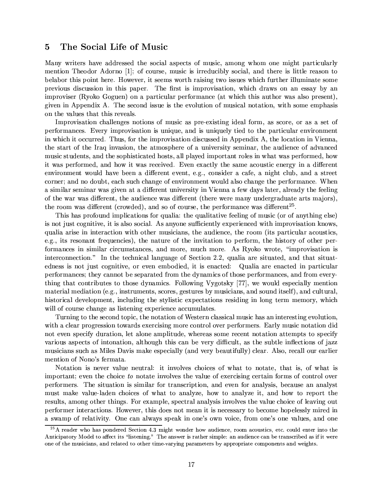### $\overline{5}$ The Social Life of Music

Many writers have addressed the social aspects of music, among whom one might particularly mention Theodor Adorno [1]; of course, music is irreducibly social, and there is little reason to belabor this point here. However, it seems worth raising two issues which further illuminate some previous discussion in this paper. The first is improvisation, which draws on an essay by an improviser (Ryoko Goguen) on a particular performance (at which this author was also present). given in Appendix A. The second issue is the evolution of musical notation, with some emphasis on the values that this reveals.

Improvisation challenges notions of music as pre-existing ideal form, as score, or as a set of performances. Every improvisation is unique, and is uniquely tied to the particular environment in which it occurred. Thus, for the improvisation discussed in Appendix A, the location in Vienna. the start of the Iraq invasion, the atmosphere of a university seminar, the audience of advanced music students, and the sophisticated hosts, all played important roles in what was performed, how it was performed, and how it was received. Even exactly the same acoustic energy in a different environment would have been a different event, e.g., consider a cafe, a night club, and a street corner; and no doubt, each such change of environment would also change the performance. When a similar seminar was given at a different university in Vienna a few days later, already the feeling of the war was different, the audience was different (there were many undergraduate arts majors). the room was different (crowded), and so of course, the performance was different<sup>25</sup>.

This has profound implications for qualia: the qualitative feeling of music (or of anything else) is not just cognitive, it is also social. As anyone sufficiently experienced with improvisation knows. qualia arise in interaction with other musicians, the audience, the room (its particular acoustics. e.g., its resonant frequencies), the nature of the invitation to perform, the history of other performances in similar circumstances, and more, much more. As Ryoko wrote, "improvisation is interconnection." In the technical language of Section 2.2, qualia are situated, and that situatedness is not just cognitive, or even embodied, it is enacted: Qualia are enacted in particular performances; they cannot be separated from the dynamics of those performances, and from everything that contributes to those dynamics. Following Vygotsky [77], we would especially mention material mediation (e.g., instruments, scores, gestures by musicians, and sound itself), and cultural, historical development, including the stylistic expectations residing in long term memory, which will of course change as listening experience accumulates.

Turning to the second topic, the notation of Western classical music has an interesting evolution, with a clear progression towards exercising more control over performers. Early music notation did not even specify duration, let alone amplitude, whereas some recent notation attempts to specify various aspects of intonation, although this can be very difficult, as the subtle inflections of jazz musicians such as Miles Davis make especially (and very beautifully) clear. Also, recall our earlier mention of Nono's fermata.

Notation is never value neutral: it involves choices of what to notate, that is, of what is important; even the choice to notate involves the value of exercising certain forms of control over performers. The situation is similar for transcription, and even for analysis, because an analyst must make value-laden choices of what to analyze, how to analyze it, and how to report the results, among other things. For example, spectral analysis involves the value choice of leaving out performer interactions. However, this does not mean it is necessary to become hopelessly mired in a swamp of relativity. One can always speak in one's own voice, from one's one values, and one

<sup>&</sup>lt;sup>25</sup>A reader who has pondered Section 4.3 might wonder how audience, room acoustics, etc. could enter into the Anticipatory Model to affect its "listening." The answer is rather simple: an audience can be transcribed as if it were one of the musicians, and related to other time-varying parameters by appropriate components and weights.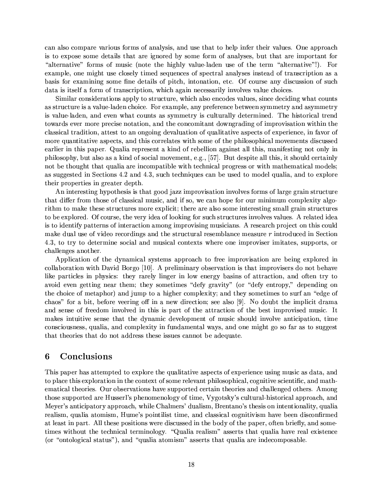can also compare various forms of analysis, and use that to help infer their values. One approach is to expose some details that are ignored by some form of analyses, but that are important for "alternative" forms of music (note the highly value-laden use of the term "alternative"!). For example, one might use closely timed sequences of spectral analyses instead of transcription as a basis for examining some fine details of pitch, intonation, etc. Of course any discussion of such data is itself a form of transcription, which again necessarily involves value choices.

Similar considerations apply to structure, which also encodes values, since deciding what counts as structure is a value-laden choice. For example, any preference between symmetry and asymmetry is value-laden, and even what counts as symmetry is culturally determined. The historical trend towards ever more precise notation, and the concomitant downgrading of improvisation within the classical tradition, attest to an ongoing devaluation of qualitative aspects of experience, in favor of more quantitative aspects, and this correlates with some of the philosophical movements discussed earlier in this paper. Qualia represent a kind of rebellion against all this, manifesting not only in philosophy, but also as a kind of social movement, e.g., [57]. But despite all this, it should certainly not be thought that qualia are incompatible with technical progress or with mathematical models; as suggested in Sections 4.2 and 4.3, such techniques can be used to model qualia, and to explore their properties in greater depth.

An interesting hypothesis is that good jazz improvisation involves forms of large grain structure that differ from those of classical music, and if so, we can hope for our minimum complexity algorithm to make these structures more explicit; there are also some interesting small grain structures to be explored. Of course, the very idea of looking for such structures involves values. A related idea is to identify patterns of interaction among improvising musicians. A research project on this could make dual use of video recordings and the structural resemblance measure  $r$  introduced in Section 4.3, to try to determine social and musical contexts where one improviser imitates, supports, or challenges another.

Application of the dynamical systems approach to free improvisation are being explored in collaboration with David Borgo [10]. A preliminary observation is that improvisers do not behave like particles in physics: they rarely linger in low energy basins of attraction, and often try to avoid even getting near them; they sometimes "defy gravity" (or "defy entropy," depending on the choice of metaphor) and jump to a higher complexity; and they sometimes to surf an "edge of chaos" for a bit, before veering off in a new direction; see also [9]. No doubt the implicit drama and sense of freedom involved in this is part of the attraction of the best improvised music. It makes intuitive sense that the dynamic development of music should involve anticipation, time consciousness, qualia, and complexity in fundamental ways, and one might go so far as to suggest that theories that do not address these issues cannot be adequate.

# Conclusions 6

This paper has attempted to explore the qualitative aspects of experience using music as data, and to place this exploration in the context of some relevant philosophical, cognitive scientific, and mathematical theories. Our observations have supported certain theories and challenged others. Among those supported are Husserl's phenomenology of time, Vygotsky's cultural-historical approach, and Meyer's anticipatory approach, while Chalmers' dualism, Brentano's thesis on intentionality, qualia realism, qualia atomism, Hume's pointilist time, and classical cognitivism have been disconfirmed at least in part. All these positions were discussed in the body of the paper, often briefly, and sometimes without the technical terminology. "Qualia realism" asserts that qualia have real existence (or "ontological status"), and "qualia atomism" asserts that qualia are indecomposable.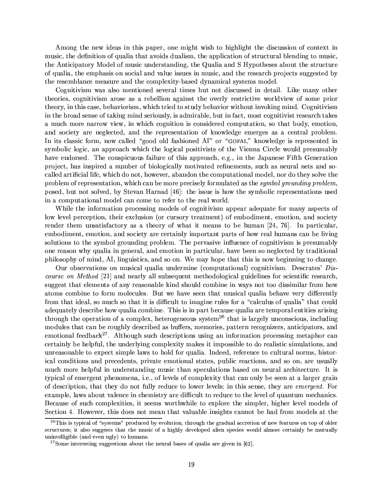Among the new ideas in this paper, one might wish to highlight the discussion of context in music, the definition of qualia that avoids dualism, the application of structural blending to music, the Anticipatory Model of music understanding, the Qualia and S Hypotheses about the structure of qualia, the emphasis on social and value issues in music, and the research projects suggested by the resemblance measure and the complexity-based dynamical systems model.

Cognitivism was also mentioned several times but not discussed in detail. Like many other theories, cognitivism arose as a rebellion against the overly restrictive worldview of some prior theory, in this case, behaviorism, which tried to study behavior without invoking mind. Cognitivism in the broad sense of taking mind seriously, is admirable, but in fact, most cognitivist research takes a much more narrow view, in which cognition is considered computation, so that body, emotion, and society are neglected, and the representation of knowledge emerges as a central problem. In its classic form, now called "good old fashioned AI" or "GOFAI," knowledge is represented in symbolic logic, an approach which the logical positivists of the Vienna Circle would presumably have endorsed. The conspicuous failure of this approach, e.g., in the Japanese Fifth Generation project, has inspired a number of biologically motivated refinements, such as neural nets and socalled artificial life, which do not, however, abandon the computational model, nor do they solve the problem of representation, which can be more precisely formulated as the *symbol grounding problem*. posed, but not solved, by Stevan Harnad [46]: the issue is how the symbolic representations used in a computational model can come to refer to the real world.

While the information processing models of cognitivism appear adequate for many aspects of low level perception, their exclusion (or cursory treatment) of embodiment, emotion, and society render them unsatisfactory as a theory of what it means to be human [24, 76]. In particular, embodiment, emotion, and society are certainly important parts of how real humans can be living solutions to the symbol grounding problem. The pervasive influence of cognitivism is presumably one reason why qualia in general, and emotion in particular, have been so neglected by traditional philosophy of mind, AI, linguistics, and so on. We may hope that this is now beginning to change.

Our observations on musical qualia undermine (computational) cognitivism. Descrates' Discourse on Method [21] and nearly all subsequent methodological guidelines for scientific research, suggest that elements of any reasonable kind should combine in ways not too dissimilar from how atoms combine to form molecules. But we have seen that musical qualia behave very differently from that ideal, so much so that it is difficult to imagine rules for a "calculus of qualia" that could adequately describe how qualia combine. This is in part because qualia are temporal entities arising through the operation of a complex, heterogeneous system<sup>26</sup> that is largely unconscious, including modules that can be roughly described as buffers, memories, pattern recognizers, anticipators, and emotional feedback<sup>27</sup>. Although such descriptions using an information processing metaphor can certainly be helpful, the underlying complexity makes it impossible to do realistic simulations, and unreasonable to expect simple laws to hold for qualia. Indeed, reference to cultural norms, historical conditions and precedents, private emotional states, public reactions, and so on, are usually much more helpful in understanding music than speculations based on neural architecture. It is typical of emergent phenomena, i.e., of levels of complexity that can only be seen at a larger grain of description, that they do not fully reduce to lower levels; in this sense, they are *emergent*. For example, laws about valence in chemistry are difficult to reduce to the level of quantum mechanics. Because of such complexities, it seems worthwhile to explore the simpler, higher level models of Section 4. However, this does not mean that valuable insights cannot be had from models at the

<sup>&</sup>lt;sup>26</sup>This is typical of "systems" produced by evolution, through the gradual accretion of new features on top of older structures; it also suggests that the music of a highly developed alien species would almost certainly be mutually unintelligible (and even ugly) to humans.

 $27$ Some interesting suggestions about the neural bases of qualia are given in [62].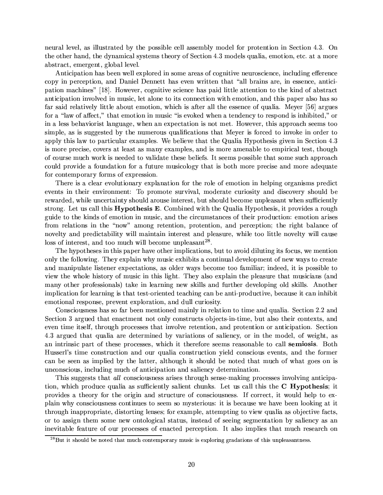neural level, as illustrated by the possible cell assembly model for protention in Section 4.3. On the other hand, the dynamical systems theory of Section 4.3 models qualia, emotion, etc. at a more abstract, emergent, global level.

Anticipation has been well explored in some areas of cognitive neuroscience, including efference copy in perception, and Daniel Dennett has even written that "all brains are, in essence, anticipation machines" [18]. However, cognitive science has paid little attention to the kind of abstract anticipation involved in music, let alone to its connection with emotion, and this paper also has so far said relatively little about emotion, which is after all the essence of qualia. Meyer [56] argues for a "law of affect," that emotion in music "is evoked when a tendency to respond is inhibited," or in a less behaviorist language, when an expectation is not met. However, this approach seems too simple, as is suggested by the numerous qualifications that Meyer is forced to invoke in order to apply this law to particular examples. We believe that the Qualia Hypothesis given in Section 4.3 is more precise, covers at least as many examples, and is more amenable to empirical test, though of course much work is needed to validate these beliefs. It seems possible that some such approach could provide a foundation for a future musicology that is both more precise and more adequate for contemporary forms of expression.

There is a clear evolutionary explanation for the role of emotion in helping organisms predict events in their environment: To promote survival, moderate curiosity and discovery should be rewarded, while uncertainty should arouse interest, but should become unpleasant when sufficiently strong. Let us call this **Hypothesis E**. Combined with the Qualia Hypothesis, it provides a rough guide to the kinds of emotion in music, and the circumstances of their production: emotion arises from relations in the "now" among retention, protention, and perception; the right balance of novelty and predictability will maintain interest and pleasure, while too little novelty will cause loss of interest, and too much will become unpleasant<sup>28</sup>.

The hypotheses in this paper have other implications, but to avoid diluting its focus, we mention only the following. They explain why music exhibits a continual development of new ways to create and manipulate listener expectations, as older ways become too familiar; indeed, it is possible to view the whole history of music in this light. They also explain the pleasure that musicians (and many other professionals) take in learning new skills and further developing old skills. Another implication for learning is that test-oriented teaching can be anti-productive, because it can inhibit emotional response, prevent exploration, and dull curiosity.

Consciousness has so far been mentioned mainly in relation to time and qualia. Section 2.2 and Section 3 argued that enactment not only constructs objects-in-time, but also their contexts, and even time itself, through processes that involve retention, and protention or anticipation. Section 4.3 argued that qualia are determined by variations of saliency, or in the model, of weight, as an intrinsic part of these processes, which it therefore seems reasonable to call **semiosis**. Both Husserl's time construction and our qualia construction yield conscious events, and the former can be seen as implied by the latter, although it should be noted that much of what goes on is unconscious, including much of anticipation and saliency determination.

This suggests that all consciousness arises through sense-making processes involving anticipation, which produce qualia as sufficiently salient chunks. Let us call this the C Hypothesis; it provides a theory for the origin and structure of consciousness. If correct, it would help to explain why consciousness continues to seem so mysterious: it is because we have been looking at it through inappropriate, distorting lenses; for example, attempting to view qualia as objective facts, or to assign them some new ontological status, instead of seeing segmentation by saliency as an inevitable feature of our processes of enacted perception. It also implies that much research on

<sup>&</sup>lt;sup>28</sup>But it should be noted that much contemporary music is exploring gradations of this unpleasantness.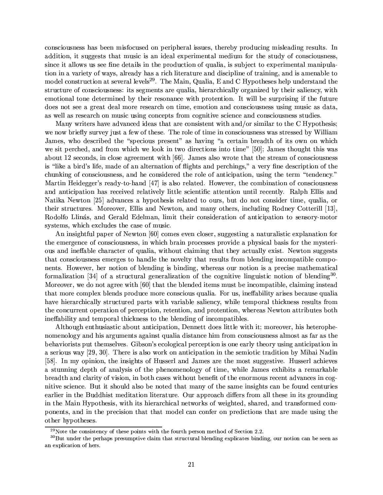consciousness has been misfocused on peripheral issues, thereby producing misleading results. In addition, it suggests that music is an ideal experimental medium for the study of consciousness, since it allows us see fine details in the production of qualia, is subject to experimental manipulation in a variety of ways, already has a rich literature and discipline of training, and is amenable to model construction at several levels<sup>29</sup>. The Main, Qualia, E and C Hypotheses help understand the structure of consciousness: its segments are qualia, hierarchically organized by their saliency, with emotional tone determined by their resonance with protention. It will be surprising if the future does not see a great deal more research on time, emotion and consciousness using music as data, as well as research on music using concepts from cognitive science and consciousness studies.

Many writers have advanced ideas that are consistent with and/or similar to the C Hypothesis; we now briefly survey just a few of these. The role of time in consciousness was stressed by William James, who described the "specious present" as having "a certain breadth of its own on which we sit perched, and from which we look in two directions into time" [50]; James thought this was about 12 seconds, in close agreement with [66]. James also wrote that the stream of consciousness is "like a bird's life, made of an alternation of flights and perchings," a very fine description of the chunking of consciousness, and he considered the role of anticipation, using the term "tendency." Martin Heidegger's ready-to-hand [47] is also related. However, the combination of consciousness and anticipation has received relatively little scientific attention until recently. Ralph Ellis and Natika Newton [25] advances a hypothesis related to ours, but do not consider time, qualia, or their structures. Moreover, Ellis and Newton, and many others, including Rodney Cotterill [13], Rodolfo Llinás, and Gerald Edelman, limit their consideration of anticipation to sensory-motor systems, which excludes the case of music.

An insightful paper of Newton [60] comes even closer, suggesting a naturalistic explanation for the emergence of consciousness, in which brain processes provide a physical basis for the mysterious and ineffable character of qualia, without claiming that they actually exist. Newton suggests that consciousness emerges to handle the novelty that results from blending incompatible components. However, her notion of blending is binding, whereas our notion is a precise mathematical formalization [34] of a structural generalization of the cognitive linguistic notion of blending<sup>30</sup>. Moreover, we do not agree with [60] that the blended items must be incompatible, claiming instead that more complex blends produce more conscious qualia. For us, ineffability arises because qualia have hierarchically structured parts with variable saliency, while temporal thickness results from the concurrent operation of perception, retention, and protention, whereas Newton attributes both ineffability and temporal thickness to the blending of incompatibles.

Although enthusiastic about anticipation, Dennett does little with it; moreover, his heterophenomenology and his arguments against qualia distance him from consciousness almost as far as the behaviorists put themselves. Gibson's ecological perception is one early theory using anticipation in a serious way [29, 30]. There is also work on anticipation in the semiotic tradition by Mihai Nadin [58]. In my opinion, the insights of Husserl and James are the most suggestive. Husserl achieves a stunning depth of analysis of the phenomenology of time, while James exhibits a remarkable breadth and clarity of vision, in both cases without benefit of the enormous recent advances in cognitive science. But it should also be noted that many of the same insights can be found centuries earlier in the Buddhist meditation literature. Our approach differs from all these in its grounding in the Main Hypothesis, with its hierarchical networks of weighted, shared, and transformed components, and in the precision that that model can confer on predictions that are made using the other hypotheses.

 $^{29}$ Note the consistency of these points with the fourth person method of Section 2.2.

 ${}^{30}$ But under the perhaps presumptive claim that structural blending explicates binding, our notion can be seen as an explication of hers.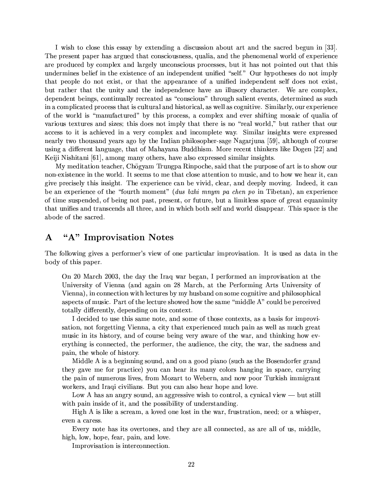I wish to close this essay by extending a discussion about art and the sacred begun in [33]. The present paper has argued that consciousness, qualia, and the phenomenal world of experience are produced by complex and largely unconscious processes, but it has not pointed out that this undermines belief in the existence of an independent unified "self." Our hypotheses do not imply that people do not exist, or that the appearance of a unified independent self does not exist, but rather that the unity and the independence have an illusory character. We are complex. dependent beings, continually recreated as "conscious" through salient events, determined as such in a complicated process that is cultural and historical, as well as cognitive. Similarly, our experience of the world is "manufactured" by this process, a complex and ever shifting mosaic of qualia of various textures and sizes; this does not imply that there is no "real world," but rather that our access to it is achieved in a very complex and incomplete way. Similar insights were expressed nearly two thousand years ago by the Indian philosopher-sage Nagarjuna [59], although of course using a different language, that of Mahayana Buddhism. More recent thinkers like Dogen [22] and Keiji Nishitani [61], among many others, have also expressed similar insights.

My meditation teacher, Chögyam Trungpa Rinpoche, said that the purpose of art is to show our non-existence in the world. It seems to me that close attention to music, and to how we hear it, can give precisely this insight. The experience can be vivid, clear, and deeply moving. Indeed, it can be an experience of the "fourth moment" (dus bzhi mnym pa chen po in Tibetan), an experience of time suspended, of being not past, present, or future, but a limitless space of great equanimity that unifies and transcends all three, and in which both self and world disappear. This space is the abode of the sacred.

## "A" Improvisation Notes  $\mathbf{A}$

The following gives a performer's view of one particular improvisation. It is used as data in the body of this paper.

On 20 March 2003, the day the Iraq war began, I performed an improvisation at the University of Vienna (and again on 28 March, at the Performing Arts University of Vienna), in connection with lectures by my husband on some cognitive and philosophical aspects of music. Part of the lecture showed how the same "middle A" could be perceived totally differently, depending on its context.

I decided to use this same note, and some of those contexts, as a basis for improvisation, not forgetting Vienna, a city that experienced much pain as well as much great music in its history, and of course being very aware of the war, and thinking how everything is connected, the performer, the audience, the city, the war, the sadness and pain, the whole of history.

Middle A is a beginning sound, and on a good piano (such as the Bosendorfer grand they gave me for practice) you can hear its many colors hanging in space, carrying the pain of numerous lives, from Mozart to Webern, and now poor Turkish immigrant workers, and Iraqi civilians. But you can also hear hope and love.

Low A has an angry sound, an aggressive wish to control, a cynical view — but still with pain inside of it, and the possibility of understanding.

High A is like a scream, a loved one lost in the war, frustration, need; or a whisper, even a caress.

Every note has its overtones, and they are all connected, as are all of us, middle, high, low, hope, fear, pain, and love.

Improvisation is interconnection.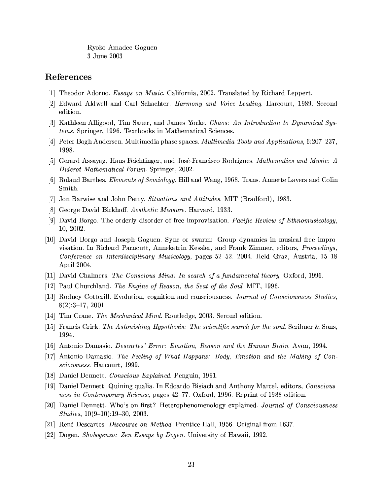Ryoko Amadee Goguen 3 June 2003

# References

- [1] Theodor Adorno. *Essays on Music*. California, 2002. Translated by Richard Leppert.
- [2] Edward Aldwell and Carl Schachter. *Harmony and Voice Leading*. Harcourt, 1989. Second edition.
- [3] Kathleen Alligood, Tim Sauer, and James Yorke. Chaos: An Introduction to Dynamical Systems. Springer, 1996. Textbooks in Mathematical Sciences.
- [4] Peter Bogh Andersen. Multimedia phase spaces. *Multimedia Tools and Applications*, 6:207–237, 1998.
- [5] Gerard Assayag, Hans Feichtinger, and José-Francisco Rodrigues. Mathematics and Music: A Diderot Mathematical Forum. Springer, 2002.
- [6] Roland Barthes. *Elements of Semiology*. Hill and Wang, 1968. Trans. Annette Lavers and Colin Smith.
- [7] Jon Barwise and John Perry. Situations and Attitudes. MIT (Bradford), 1983.
- [8] George David Birkhoff. Aesthetic Measure. Harvard, 1933.
- [9] David Borgo. The orderly disorder of free improvisation. Pacific Review of Ethnomusicology, 10, 2002.
- [10] David Borgo and Joseph Goguen. Sync or swarm: Group dynamics in musical free improvisation. In Richard Parncutt, Annekatrin Kessler, and Frank Zimmer, editors, *Proceedings*, Conference on Interdisciplinary Musicology, pages 52–52. 2004. Held Graz, Austria, 15–18 April 2004.
- [11] David Chalmers. The Conscious Mind: In search of a fundamental theory. Oxford, 1996.
- [12] Paul Churchland. The Engine of Reason, the Seat of the Soul. MIT, 1996.
- [13] Rodney Cotterill. Evolution, cognition and consciousness. Journal of Consciousness Studies,  $8(2):3-17, 2001.$
- [14] Tim Crane. The Mechanical Mind. Routledge, 2003. Second edition.
- [15] Francis Crick. The Astonishing Hypothesis: The scientific search for the soul. Scribner & Sons. 1994.
- [16] Antonio Damasio. Descartes' Error: Emotion, Reason and the Human Brain. Avon, 1994.
- [17] Antonio Damasio. The Feeling of What Happans: Body, Emotion and the Making of Consciousness. Harcourt, 1999.
- [18] Daniel Dennett. Conscious Explained. Penguin, 1991.
- [19] Daniel Dennett. Quining qualia. In Edoardo Bisiach and Anthony Marcel, editors, Consciousness in Contemporary Science, pages 42-77. Oxford, 1996. Reprint of 1988 edition.
- [20] Daniel Dennett. Who's on first? Heterophenomenology explained. Journal of Consciousness *Studies*,  $10(9-10):19-30$ , 2003.
- [21] René Descartes. *Discourse on Method*. Prentice Hall, 1956. Original from 1637.
- [22] Dogen. Shobogenzo: Zen Essays by Dogen. University of Hawaii, 1992.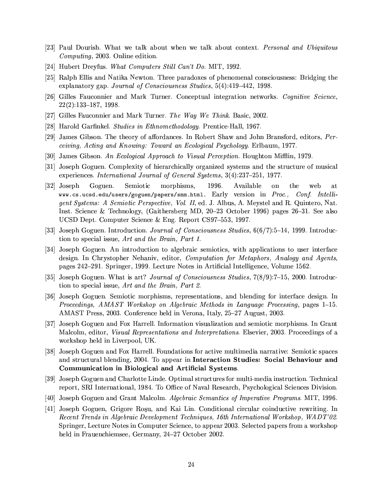- [23] Paul Dourish. What we talk about when we talk about context. Personal and Ubiquitous *Computing*, 2003. Online edition.
- [24] Hubert Dreyfus. What Computers Still Can't Do. MIT, 1992.
- [25] Ralph Ellis and Natika Newton. Three paradoxes of phenomenal consciousness: Bridging the explanatory gap. Journal of Consciousness Studies, 5(4):419-442, 1998.
- [26] Gilles Fauconnier and Mark Turner. Conceptual integration networks. Cognitive Science.  $22(2):133-187, 1998.$
- [27] Gilles Fauconnier and Mark Turner. The Way We Think. Basic, 2002.
- [28] Harold Garfinkel. Studies in Ethnomethodology. Prentice-Hall, 1967.
- [29] James Gibson. The theory of affordances. In Robert Shaw and John Bransford, editors, Perceiving, Acting and Knowing: Toward an Ecological Psychology. Erlbaum, 1977.
- [30] James Gibson. An Ecological Approach to Visual Perception. Houghton Mifflin, 1979.
- [31] Joseph Goguen. Complexity of hierarchically organized systems and the structure of musical experiences. International Journal of General Systems, 3(4):237-251, 1977.
- 1996.  $[32]$  Joseph Goguen. Semiotic morphisms, Available the  $\alpha$ web at www.cs.ucsd.edu/users/goguen/papers/smm.html. Early version in *Proc.*, Conf. Intelligent Systems: A Semiotic Perspective, Vol. II, ed. J. Albus, A. Meystel and R. Quintero, Nat. Inst. Science & Technology, (Gaithersberg MD,  $20-23$  October 1996) pages  $26-31$ . See also UCSD Dept. Computer Science & Eng. Report CS97-553, 1997.
- [33] Joseph Goguen. Introduction. Journal of Consciousness Studies,  $6(6/7)$ :5-14, 1999. Introduction to special issue. Art and the Brain, Part 1.
- [34] Joseph Goguen. An introduction to algebraic semiotics, with applications to user interface design. In Chrystopher Nehaniv, editor, Computation for Metaphors, Analogy and Agents. pages 242–291. Springer, 1999. Lecture Notes in Artificial Intelligence, Volume 1562.
- [35] Joseph Goguen. What is art? *Journal of Consciousness Studies*,  $7(8/9)$ :  $7-15$ , 2000. Introduction to special issue, Art and the Brain, Part 2.
- [36] Joseph Goguen. Semiotic morphisms, representations, and blending for interface design. In Proceedings, AMAST Workshop on Algebraic Methods in Language Processing, pages 1-15. AMAST Press, 2003. Conference held in Verona, Italy, 25–27 August, 2003.
- [37] Joseph Goguen and Fox Harrell. Information visualization and semiotic morphisms. In Grant Malcolm, editor, *Visual Representations and Interpretations*. Elsevier, 2003. Proceedings of a workshop held in Liverpool, UK.
- [38] Joseph Goguen and Fox Harrell. Foundations for active multimedia narrative: Semiotic spaces and structural blending, 2004. To appear in Interaction Studies: Social Behaviour and Communication in Biological and Artificial Systems.
- [39] Joseph Goguen and Charlotte Linde. Optimal structures for multi-media instruction. Technical report, SRI International, 1984. To Office of Naval Research, Psychological Sciences Division.
- [40] Joseph Goguen and Grant Malcolm. Algebraic Semantics of Imperative Programs. MIT, 1996.
- [41] Joseph Goguen, Grigore Rosu, and Kai Lin. Conditional circular coinductive rewriting. In Recent Trends in Algebraic Development Techniques, 16th International Workshop, WADT'02. Springer, Lecture Notes in Computer Science, to appear 2003. Selected papers from a workshop held in Frauenchiemsee, Germany, 24-27 October 2002.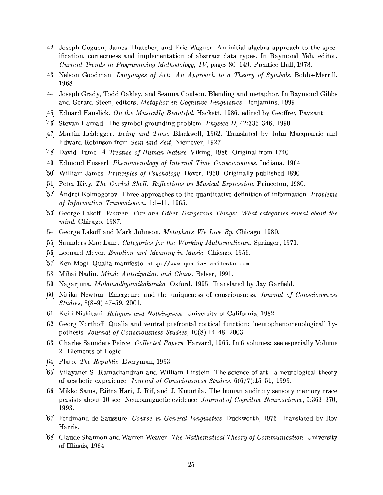- [42] Joseph Goguen, James Thatcher, and Eric Wagner. An initial algebra approach to the specification, correctness and implementation of abstract data types. In Raymond Yeh, editor, Current Trends in Programming Methodology, IV, pages 80–149. Prentice-Hall, 1978.
- [43] Nelson Goodman. Languages of Art: An Approach to a Theory of Symbols. Bobbs-Merrill. 1968.
- [44] Joseph Grady, Todd Oakley, and Seanna Coulson. Blending and metaphor. In Raymond Gibbs and Gerard Steen, editors, Metaphor in Cognitive Linguistics. Benjamins, 1999.
- [45] Eduard Hanslick. On the Musically Beautiful. Hackett, 1986. edited by Geoffrey Payzant.
- [46] Stevan Harnad. The symbol grounding problem. *Physica D*, 42:335-346, 1990.
- [47] Martin Heidegger. Being and Time. Blackwell, 1962. Translated by John Macquarrie and Edward Robinson from Sein und Zeit, Niemeyer, 1927.
- [48] David Hume. A Treatise of Human Nature. Viking, 1986. Original from 1740.
- [49] Edmond Husserl. *Phenomenology of Internal Time-Consciousness*. Indiana, 1964.
- [50] William James. *Principles of Psychology*. Dover, 1950. Originally published 1890.
- [51] Peter Kivy. The Corded Shell: Reflections on Musical Expression. Princeton, 1980.
- [52] Andrei Kolmogorov. Three approaches to the quantitative definition of information. Problems of Information Transmission, 1:1-11, 1965.
- [53] George Lakoff. Women, Fire and Other Dangerous Things: What categories reveal about the  $mind.$  Chicago, 1987.
- [54] George Lakoff and Mark Johnson. *Metaphors We Live By*. Chicago, 1980.
- [55] Saunders Mac Lane. *Categories for the Working Mathematician*. Springer, 1971.
- [56] Leonard Meyer. *Emotion and Meaning in Music*. Chicago, 1956.
- [57] Ken Mogi. Qualia manifesto. http://www.qualia-manifesto.com.
- [58] Mihai Nadin. *Mind: Anticipation and Chaos.* Belser, 1991.
- [59] Nagarjuna. *Mulamadhyamikakaraka*. Oxford, 1995. Translated by Jay Garfield.
- [60] Nitika Newton. Emergence and the uniqueness of consciousness. Journal of Consciousness *Studies*,  $8(8-9):47-59$ , 2001.
- [61] Keiji Nishitani. *Religion and Nothingness*. University of California, 1982.
- [62] Georg Northoff. Qualia and ventral prefrontal cortical function: 'neurophenomenological' hypothesis. Journal of Consciousness Studies, 10(8):14-48, 2003.
- [63] Charles Saunders Peirce. Collected Papers. Harvard, 1965. In 6 volumes; see especially Volume 2: Elements of Logic.
- [64] Plato. The Republic. Everyman, 1993.
- [65] Vilayaner S. Ramachandran and William Hirstein. The science of art: a neurological theory of aesthetic experience. Journal of Consciousness Studies,  $6(6/7)$ :15-51, 1999.
- [66] Mikko Sams, Riitta Hari, J. Rif, and J. Knuutila. The human auditory sensory memory trace persists about 10 sec: Neuromagnetic evidence. Journal of Cognitive Neuroscience, 5:363-370, 1993.
- [67] Ferdinand de Saussure. Course in General Linguistics. Duckworth, 1976. Translated by Roy Harris.
- [68] Claude Shannon and Warren Weaver. The Mathematical Theory of Communication. University of Illinois, 1964.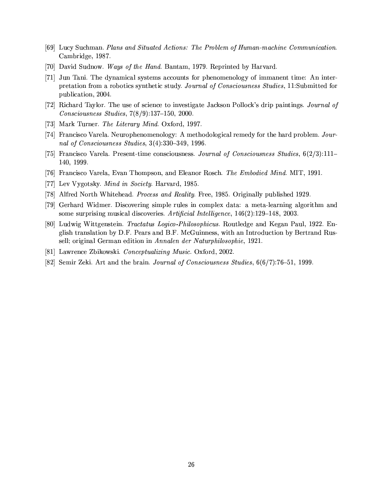- [69] Lucy Suchman. Plans and Situated Actions: The Problem of Human-machine Communication. Cambridge, 1987.
- [70] David Sudnow. Ways of the Hand. Bantam, 1979. Reprinted by Harvard.
- [71] Jun Tani. The dynamical systems accounts for phenomenology of immanent time: An interpretation from a robotics synthetic study. Journal of Consciousness Studies, 11:Submitted for publication, 2004.
- [72] Richard Taylor. The use of science to investigate Jackson Pollock's drip paintings. Journal of  $Consciousness\ Studies, 7(8/9):137-150, 2000.$
- [73] Mark Turner. The Literary Mind. Oxford, 1997.
- [74] Francisco Varela. Neurophenomenology: A methodological remedy for the hard problem. Journal of Consciousness Studies, 3(4):330-349, 1996.
- [75] Francisco Varela. Present-time consciousness. Journal of Consciousness Studies,  $6(2/3)$ :111– 140, 1999.
- [76] Francisco Varela, Evan Thompson, and Eleanor Rosch. The Embodied Mind. MIT, 1991.
- [77] Lev Vygotsky. *Mind in Society*. Harvard, 1985.
- [78] Alfred North Whitehead. *Process and Reality*. Free, 1985. Originally published 1929.
- [79] Gerhard Widmer. Discovering simple rules in complex data: a meta-learning algorithm and some surprising musical discoveries. Artificial Intelligence, 146(2):129-148, 2003.
- [80] Ludwig Wittgenstein. Tractatus Logico-Philosophicus. Routledge and Kegan Paul, 1922. English translation by D.F. Pears and B.F. McGuinness, with an Introduction by Bertrand Russell; original German edition in Annalen der Naturphilosophie, 1921.
- [81] Lawrence Zbikowski. Conceptualizing Music. Oxford, 2002.
- [82] Semir Zeki. Art and the brain. Journal of Consciousness Studies,  $6(6/7)$ :76-51, 1999.